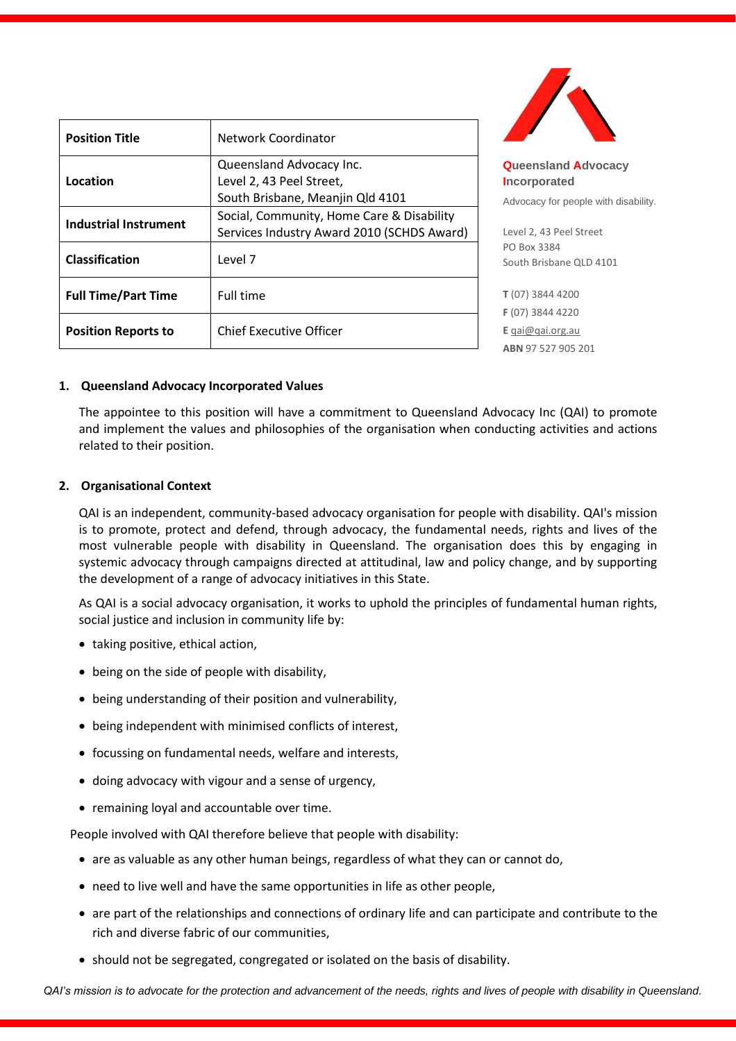| <b>Position Title</b>      | Network Coordinator                                                                      |
|----------------------------|------------------------------------------------------------------------------------------|
| Location                   | Queensland Advocacy Inc.<br>Level 2, 43 Peel Street,<br>South Brisbane, Meanjin Qld 4101 |
| Industrial Instrument      | Social, Community, Home Care & Disability<br>Services Industry Award 2010 (SCHDS Award)  |
| <b>Classification</b>      | Level 7                                                                                  |
| <b>Full Time/Part Time</b> | Full time                                                                                |
| <b>Position Reports to</b> | <b>Chief Executive Officer</b>                                                           |



**Queensland Advocacy Incorporated** 

Advocacy for people with disability.

Level 2, 43 Peel Street PO Box 3384 South Brisbane QLD 4101

**T** (07) 3844 4200 **F** (07) 3844 4220 **E** [qai@qai.org.au](mailto:qai@qai.org.au) **ABN** 97 527 905 201

## **1. Queensland Advocacy Incorporated Values**

The appointee to this position will have a commitment to Queensland Advocacy Inc (QAI) to promote and implement the values and philosophies of the organisation when conducting activities and actions related to their position.

## **2. Organisational Context**

QAI is an independent, community-based advocacy organisation for people with disability. QAI's mission is to promote, protect and defend, through advocacy, the fundamental needs, rights and lives of the most vulnerable people with disability in Queensland. The organisation does this by engaging in systemic advocacy through campaigns directed at attitudinal, law and policy change, and by supporting the development of a range of advocacy initiatives in this State.

As QAI is a social advocacy organisation, it works to uphold the principles of fundamental human rights, social justice and inclusion in community life by:

- taking positive, ethical action,
- being on the side of people with disability,
- being understanding of their position and vulnerability,
- being independent with minimised conflicts of interest,
- focussing on fundamental needs, welfare and interests,
- doing advocacy with vigour and a sense of urgency,
- remaining loyal and accountable over time.

People involved with QAI therefore believe that people with disability:

- are as valuable as any other human beings, regardless of what they can or cannot do,
- need to live well and have the same opportunities in life as other people,
- are part of the relationships and connections of ordinary life and can participate and contribute to the rich and diverse fabric of our communities,
- should not be segregated, congregated or isolated on the basis of disability.

QAI's mission is to advocate for the protection and advancement of the needs, rights and lives of people with disability in Queensland.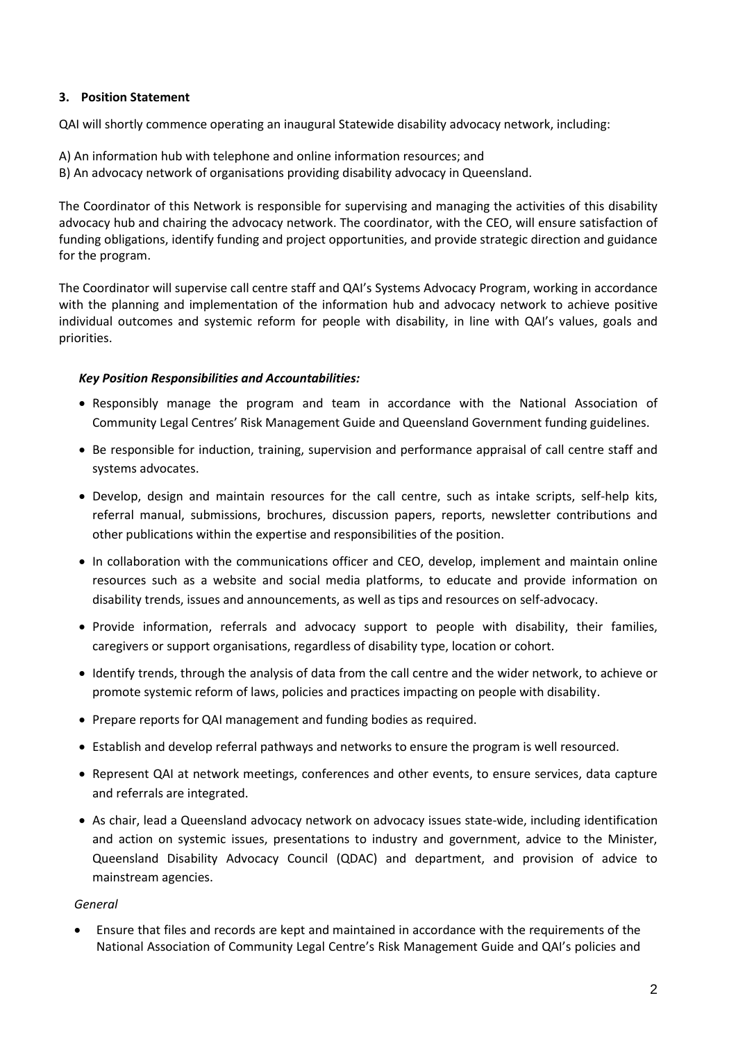# **3. Position Statement**

QAI will shortly commence operating an inaugural Statewide disability advocacy network, including:

- A) An information hub with telephone and online information resources; and
- B) An advocacy network of organisations providing disability advocacy in Queensland.

The Coordinator of this Network is responsible for supervising and managing the activities of this disability advocacy hub and chairing the advocacy network. The coordinator, with the CEO, will ensure satisfaction of funding obligations, identify funding and project opportunities, and provide strategic direction and guidance for the program.

The Coordinator will supervise call centre staff and QAI's Systems Advocacy Program, working in accordance with the planning and implementation of the information hub and advocacy network to achieve positive individual outcomes and systemic reform for people with disability, in line with QAI's values, goals and priorities.

## *Key Position Responsibilities and Accountabilities:*

- Responsibly manage the program and team in accordance with the National Association of Community Legal Centres' Risk Management Guide and Queensland Government funding guidelines.
- Be responsible for induction, training, supervision and performance appraisal of call centre staff and systems advocates.
- Develop, design and maintain resources for the call centre, such as intake scripts, self-help kits, referral manual, submissions, brochures, discussion papers, reports, newsletter contributions and other publications within the expertise and responsibilities of the position.
- In collaboration with the communications officer and CEO, develop, implement and maintain online resources such as a website and social media platforms, to educate and provide information on disability trends, issues and announcements, as well as tips and resources on self-advocacy.
- Provide information, referrals and advocacy support to people with disability, their families, caregivers or support organisations, regardless of disability type, location or cohort.
- Identify trends, through the analysis of data from the call centre and the wider network, to achieve or promote systemic reform of laws, policies and practices impacting on people with disability.
- Prepare reports for QAI management and funding bodies as required.
- Establish and develop referral pathways and networks to ensure the program is well resourced.
- Represent QAI at network meetings, conferences and other events, to ensure services, data capture and referrals are integrated.
- As chair, lead a Queensland advocacy network on advocacy issues state-wide, including identification and action on systemic issues, presentations to industry and government, advice to the Minister, Queensland Disability Advocacy Council (QDAC) and department, and provision of advice to mainstream agencies.

### *General*

• Ensure that files and records are kept and maintained in accordance with the requirements of the National Association of Community Legal Centre's Risk Management Guide and QAI's policies and